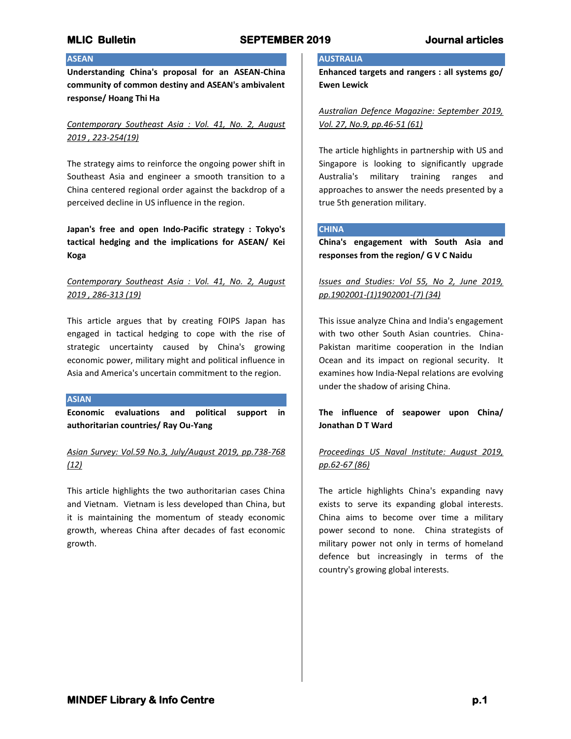## **ASEAN**

**Understanding China's proposal for an ASEAN-China community of common destiny and ASEAN's ambivalent response/ Hoang Thi Ha**

## *Contemporary Southeast Asia : Vol. 41, No. 2, August 2019 , 223-254(19)*

The strategy aims to reinforce the ongoing power shift in Southeast Asia and engineer a smooth transition to a China centered regional order against the backdrop of a perceived decline in US influence in the region.

**Japan's free and open Indo-Pacific strategy : Tokyo's tactical hedging and the implications for ASEAN/ Kei Koga**

## *Contemporary Southeast Asia : Vol. 41, No. 2, August 2019 , 286-313 (19)*

This article argues that by creating FOIPS Japan has engaged in tactical hedging to cope with the rise of strategic uncertainty caused by China's growing economic power, military might and political influence in Asia and America's uncertain commitment to the region.

#### **ASIAN**

**Economic evaluations and political support in authoritarian countries/ Ray Ou-Yang**

*Asian Survey: Vol.59 No.3, July/August 2019, pp.738-768 (12)*

This article highlights the two authoritarian cases China and Vietnam. Vietnam is less developed than China, but it is maintaining the momentum of steady economic growth, whereas China after decades of fast economic growth.

#### **AUSTRALIA**

**Enhanced targets and rangers : all systems go/ Ewen Lewick**

*Australian Defence Magazine: September 2019, Vol. 27, No.9, pp.46-51 (61)*

The article highlights in partnership with US and Singapore is looking to significantly upgrade Australia's military training ranges and approaches to answer the needs presented by a true 5th generation military.

#### **CHINA**

**China's engagement with South Asia and responses from the region/ G V C Naidu**

## *Issues and Studies: Vol 55, No 2, June 2019, pp.1902001-(1)1902001-(7) (34)*

This issue analyze China and India's engagement with two other South Asian countries. China-Pakistan maritime cooperation in the Indian Ocean and its impact on regional security. It examines how India-Nepal relations are evolving under the shadow of arising China.

**The influence of seapower upon China/ Jonathan D T Ward**

## *Proceedings US Naval Institute: August 2019, pp.62-67 (86)*

The article highlights China's expanding navy exists to serve its expanding global interests. China aims to become over time a military power second to none. China strategists of military power not only in terms of homeland defence but increasingly in terms of the country's growing global interests.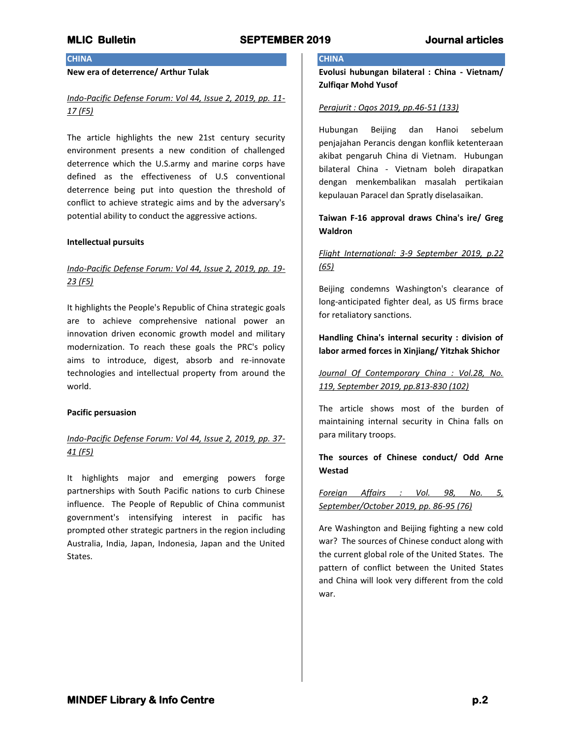## **CHINA**

## **New era of deterrence/ Arthur Tulak**

## *Indo-Pacific Defense Forum: Vol 44, Issue 2, 2019, pp. 11- 17 (F5)*

The article highlights the new 21st century security environment presents a new condition of challenged deterrence which the U.S.army and marine corps have defined as the effectiveness of U.S conventional deterrence being put into question the threshold of conflict to achieve strategic aims and by the adversary's potential ability to conduct the aggressive actions.

#### **Intellectual pursuits**

## *Indo-Pacific Defense Forum: Vol 44, Issue 2, 2019, pp. 19- 23 (F5)*

It highlights the People's Republic of China strategic goals are to achieve comprehensive national power an innovation driven economic growth model and military modernization. To reach these goals the PRC's policy aims to introduce, digest, absorb and re-innovate technologies and intellectual property from around the world.

#### **Pacific persuasion**

## *Indo-Pacific Defense Forum: Vol 44, Issue 2, 2019, pp. 37- 41 (F5)*

It highlights major and emerging powers forge partnerships with South Pacific nations to curb Chinese influence. The People of Republic of China communist government's intensifying interest in pacific has prompted other strategic partners in the region including Australia, India, Japan, Indonesia, Japan and the United States.

#### **CHINA**

**Evolusi hubungan bilateral : China - Vietnam/ Zulfiqar Mohd Yusof** 

#### *Perajurit : Ogos 2019, pp.46-51 (133)*

Hubungan Beijing dan Hanoi sebelum penjajahan Perancis dengan konflik ketenteraan akibat pengaruh China di Vietnam. Hubungan bilateral China - Vietnam boleh dirapatkan dengan menkembalikan masalah pertikaian kepulauan Paracel dan Spratly diselasaikan.

## **Taiwan F-16 approval draws China's ire/ Greg Waldron**

## *Flight International: 3-9 September 2019, p.22 (65)*

Beijing condemns Washington's clearance of long-anticipated fighter deal, as US firms brace for retaliatory sanctions.

## **Handling China's internal security : division of labor armed forces in Xinjiang/ Yitzhak Shichor**

*Journal Of Contemporary China : Vol.28, No. 119, September 2019, pp.813-830 (102)*

The article shows most of the burden of maintaining internal security in China falls on para military troops.

## **The sources of Chinese conduct/ Odd Arne Westad**

*Foreign Affairs : Vol. 98, No. 5, September/October 2019, pp. 86-95 (76)*

Are Washington and Beijing fighting a new cold war? The sources of Chinese conduct along with the current global role of the United States. The pattern of conflict between the United States and China will look very different from the cold war.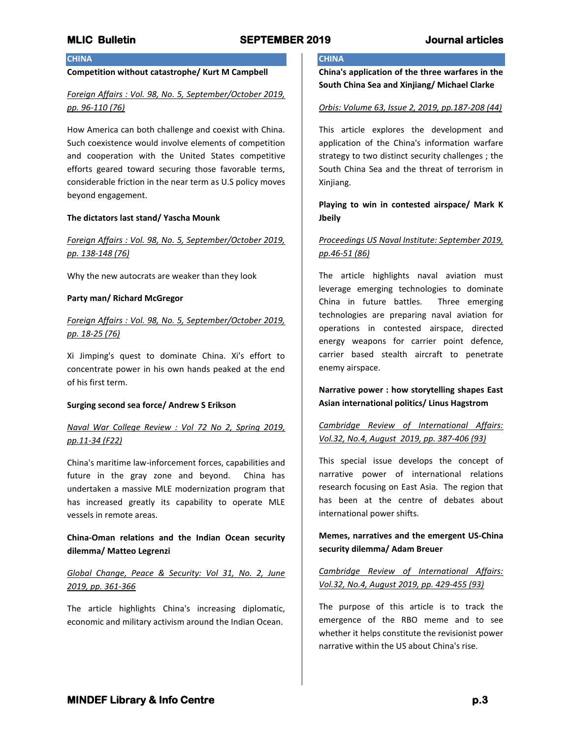#### **CHINA**

#### **Competition without catastrophe/ Kurt M Campbell**

## *Foreign Affairs : Vol. 98, No. 5, September/October 2019, pp. 96-110 (76)*

How America can both challenge and coexist with China. Such coexistence would involve elements of competition and cooperation with the United States competitive efforts geared toward securing those favorable terms, considerable friction in the near term as U.S policy moves beyond engagement.

#### **The dictators last stand/ Yascha Mounk**

## *Foreign Affairs : Vol. 98, No. 5, September/October 2019, pp. 138-148 (76)*

Why the new autocrats are weaker than they look

#### **Party man/ Richard McGregor**

## *Foreign Affairs : Vol. 98, No. 5, September/October 2019, pp. 18-25 (76)*

Xi Jimping's quest to dominate China. Xi's effort to concentrate power in his own hands peaked at the end of his first term.

#### **Surging second sea force/ Andrew S Erikson**

## *Naval War College Review : Vol 72 No 2, Spring 2019, pp.11-34 (F22)*

China's maritime law-inforcement forces, capabilities and future in the gray zone and beyond. China has undertaken a massive MLE modernization program that has increased greatly its capability to operate MLE vessels in remote areas.

## **China-Oman relations and the Indian Ocean security dilemma/ Matteo Legrenzi**

## *Global Change, Peace & Security: Vol 31, No. 2, June 2019, pp. 361-366*

The article highlights China's increasing diplomatic, economic and military activism around the Indian Ocean.

### **CHINA**

**China's application of the three warfares in the South China Sea and Xinjiang/ Michael Clarke**

#### *Orbis: Volume 63, Issue 2, 2019, pp.187-208 (44)*

This article explores the development and application of the China's information warfare strategy to two distinct security challenges ; the South China Sea and the threat of terrorism in Xinjiang.

## **Playing to win in contested airspace/ Mark K Jbeily**

## *Proceedings US Naval Institute: September 2019, pp.46-51 (86)*

The article highlights naval aviation must leverage emerging technologies to dominate China in future battles. Three emerging technologies are preparing naval aviation for operations in contested airspace, directed energy weapons for carrier point defence, carrier based stealth aircraft to penetrate enemy airspace.

## **Narrative power : how storytelling shapes East Asian international politics/ Linus Hagstrom**

## *Cambridge Review of International Affairs: Vol.32, No.4, August 2019, pp. 387-406 (93)*

This special issue develops the concept of narrative power of international relations research focusing on East Asia. The region that has been at the centre of debates about international power shifts.

## **Memes, narratives and the emergent US-China security dilemma/ Adam Breuer**

## *Cambridge Review of International Affairs: Vol.32, No.4, August 2019, pp. 429-455 (93)*

The purpose of this article is to track the emergence of the RBO meme and to see whether it helps constitute the revisionist power narrative within the US about China's rise.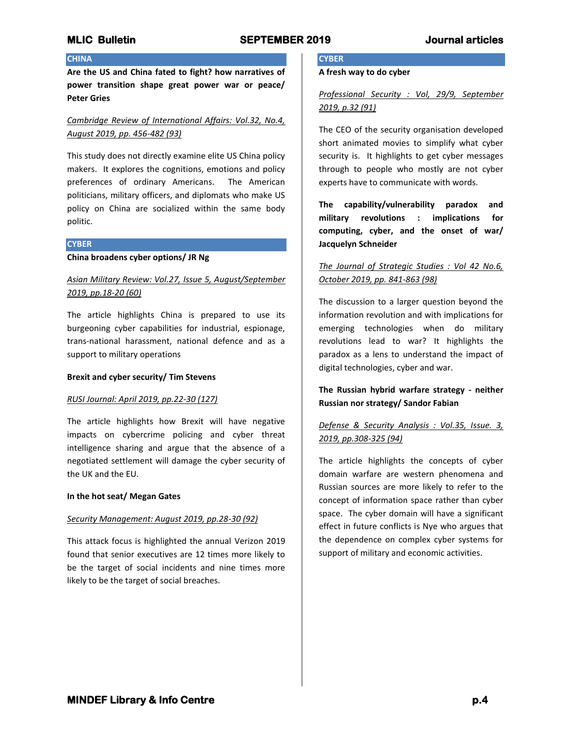#### **CHINA**

**Are the US and China fated to fight? how narratives of power transition shape great power war or peace/ Peter Gries**

### *Cambridge Review of International Affairs: Vol.32, No.4, August 2019, pp. 456-482 (93)*

This study does not directly examine elite US China policy makers. It explores the cognitions, emotions and policy preferences of ordinary Americans. The American politicians, military officers, and diplomats who make US policy on China are socialized within the same body politic.

#### **CYBER**

**China broadens cyber options/ JR Ng**

## *Asian Military Review: Vol.27, Issue 5, August/September 2019, pp.18-20 (60)*

The article highlights China is prepared to use its burgeoning cyber capabilities for industrial, espionage, trans-national harassment, national defence and as a support to military operations

#### **Brexit and cyber security/ Tim Stevens**

#### *RUSI Journal: April 2019, pp.22-30 (127)*

The article highlights how Brexit will have negative impacts on cybercrime policing and cyber threat intelligence sharing and argue that the absence of a negotiated settlement will damage the cyber security of the UK and the EU.

#### **In the hot seat/ Megan Gates**

#### *Security Management: August 2019, pp.28-30 (92)*

This attack focus is highlighted the annual Verizon 2019 found that senior executives are 12 times more likely to be the target of social incidents and nine times more likely to be the target of social breaches.

# **CYBER**

## **A fresh way to do cyber**

## *Professional Security : Vol, 29/9, September 2019, p.32 (91)*

The CEO of the security organisation developed short animated movies to simplify what cyber security is. It highlights to get cyber messages through to people who mostly are not cyber experts have to communicate with words.

**The capability/vulnerability paradox and military revolutions : implications for computing, cyber, and the onset of war/ Jacquelyn Schneider**

## *The Journal of Strategic Studies : Vol 42 No.6, October 2019, pp. 841-863 (98)*

The discussion to a larger question beyond the information revolution and with implications for emerging technologies when do military revolutions lead to war? It highlights the paradox as a lens to understand the impact of digital technologies, cyber and war.

## **The Russian hybrid warfare strategy - neither Russian nor strategy/ Sandor Fabian**

## *Defense & Security Analysis : Vol.35, Issue. 3, 2019, pp.308-325 (94)*

The article highlights the concepts of cyber domain warfare are western phenomena and Russian sources are more likely to refer to the concept of information space rather than cyber space. The cyber domain will have a significant effect in future conflicts is Nye who argues that the dependence on complex cyber systems for support of military and economic activities.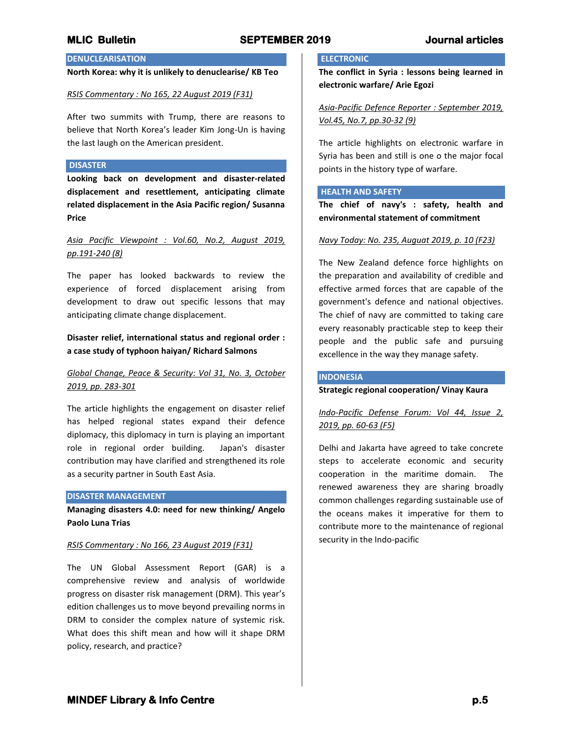## **DENUCLEARISATION**

## **North Korea: why it is unlikely to denuclearise/ KB Teo**

#### *RSIS Commentary : No 165, 22 August 2019 (F31)*

After two summits with Trump, there are reasons to believe that North Korea's leader Kim Jong-Un is having the last laugh on the American president.

#### **DISASTER**

**Looking back on development and disaster-related displacement and resettlement, anticipating climate related displacement in the Asia Pacific region/ Susanna Price**

## *Asia Pacific Viewpoint : Vol.60, No.2, August 2019, pp.191-240 (8)*

The paper has looked backwards to review the experience of forced displacement arising from development to draw out specific lessons that may anticipating climate change displacement.

## **Disaster relief, international status and regional order : a case study of typhoon haiyan/ Richard Salmons**

## *Global Change, Peace & Security: Vol 31, No. 3, October 2019, pp. 283-301*

The article highlights the engagement on disaster relief has helped regional states expand their defence diplomacy, this diplomacy in turn is playing an important role in regional order building. Japan's disaster contribution may have clarified and strengthened its role as a security partner in South East Asia.

#### **DISASTER MANAGEMENT**

**Managing disasters 4.0: need for new thinking/ Angelo Paolo Luna Trias**

#### *RSIS Commentary : No 166, 23 August 2019 (F31)*

The UN Global Assessment Report (GAR) is a comprehensive review and analysis of worldwide progress on disaster risk management (DRM). This year's edition challenges us to move beyond prevailing norms in DRM to consider the complex nature of systemic risk. What does this shift mean and how will it shape DRM policy, research, and practice?

## **ELECTRONIC**

**The conflict in Syria : lessons being learned in electronic warfare/ Arie Egozi**

*Asia-Pacific Defence Reporter : September 2019, Vol.45, No.7, pp.30-32 (9)*

The article highlights on electronic warfare in Syria has been and still is one o the major focal points in the history type of warfare.

#### **HEALTH AND SAFETY**

**The chief of navy's : safety, health and environmental statement of commitment**

#### *Navy Today: No. 235, Auguat 2019, p. 10 (F23)*

The New Zealand defence force highlights on the preparation and availability of credible and effective armed forces that are capable of the government's defence and national objectives. The chief of navy are committed to taking care every reasonably practicable step to keep their people and the public safe and pursuing excellence in the way they manage safety.

#### **INDONESIA**

### **Strategic regional cooperation/ Vinay Kaura**

## *Indo-Pacific Defense Forum: Vol 44, Issue 2, 2019, pp. 60-63 (F5)*

Delhi and Jakarta have agreed to take concrete steps to accelerate economic and security cooperation in the maritime domain. The renewed awareness they are sharing broadly common challenges regarding sustainable use of the oceans makes it imperative for them to contribute more to the maintenance of regional security in the Indo-pacific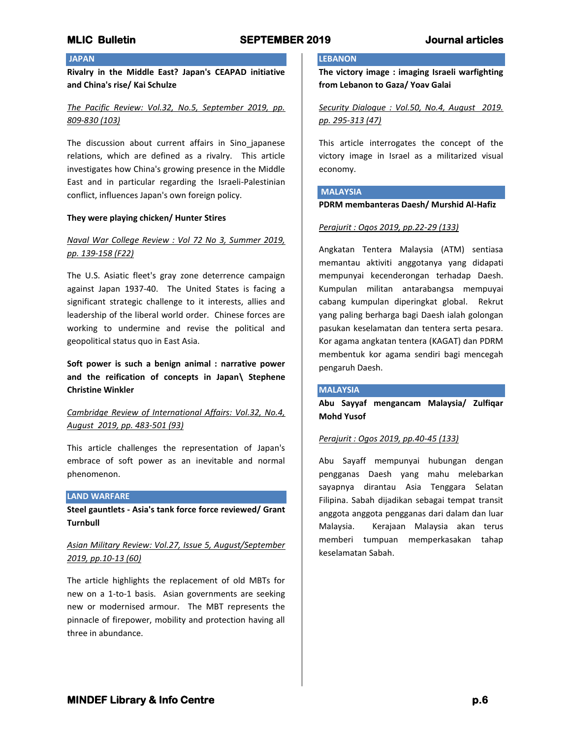## **JAPAN**

**Rivalry in the Middle East? Japan's CEAPAD initiative and China's rise/ Kai Schulze**

## *The Pacific Review: Vol.32, No.5, September 2019, pp. 809-830 (103)*

The discussion about current affairs in Sino japanese relations, which are defined as a rivalry. This article investigates how China's growing presence in the Middle East and in particular regarding the Israeli-Palestinian conflict, influences Japan's own foreign policy.

#### **They were playing chicken/ Hunter Stires**

## *Naval War College Review : Vol 72 No 3, Summer 2019, pp. 139-158 (F22)*

The U.S. Asiatic fleet's gray zone deterrence campaign against Japan 1937-40. The United States is facing a significant strategic challenge to it interests, allies and leadership of the liberal world order. Chinese forces are working to undermine and revise the political and geopolitical status quo in East Asia.

**Soft power is such a benign animal : narrative power and the reification of concepts in Japan\ Stephene Christine Winkler**

## *Cambridge Review of International Affairs: Vol.32, No.4, August 2019, pp. 483-501 (93)*

This article challenges the representation of Japan's embrace of soft power as an inevitable and normal phenomenon.

#### **LAND WARFARE**

**Steel gauntlets - Asia's tank force force reviewed/ Grant Turnbull**

## *Asian Military Review: Vol.27, Issue 5, August/September 2019, pp.10-13 (60)*

The article highlights the replacement of old MBTs for new on a 1-to-1 basis. Asian governments are seeking new or modernised armour. The MBT represents the pinnacle of firepower, mobility and protection having all three in abundance.

#### **LEBANON**

**The victory image : imaging Israeli warfighting from Lebanon to Gaza/ Yoav Galai**

*Security Dialogue : Vol.50, No.4, August 2019. pp. 295-313 (47)*

This article interrogates the concept of the victory image in Israel as a militarized visual economy.

# **MALAYSIA**

## **PDRM membanteras Daesh/ Murshid Al-Hafiz**

#### *Perajurit : Ogos 2019, pp.22-29 (133)*

Angkatan Tentera Malaysia (ATM) sentiasa memantau aktiviti anggotanya yang didapati mempunyai kecenderongan terhadap Daesh. Kumpulan militan antarabangsa mempuyai cabang kumpulan diperingkat global. Rekrut yang paling berharga bagi Daesh ialah golongan pasukan keselamatan dan tentera serta pesara. Kor agama angkatan tentera (KAGAT) dan PDRM membentuk kor agama sendiri bagi mencegah pengaruh Daesh.

#### **MALAYSIA**

**Abu Sayyaf mengancam Malaysia/ Zulfiqar Mohd Yusof**

#### *Perajurit : Ogos 2019, pp.40-45 (133)*

Abu Sayaff mempunyai hubungan dengan pengganas Daesh yang mahu melebarkan sayapnya dirantau Asia Tenggara Selatan Filipina. Sabah dijadikan sebagai tempat transit anggota anggota pengganas dari dalam dan luar Malaysia. Kerajaan Malaysia akan terus memberi tumpuan memperkasakan tahap keselamatan Sabah.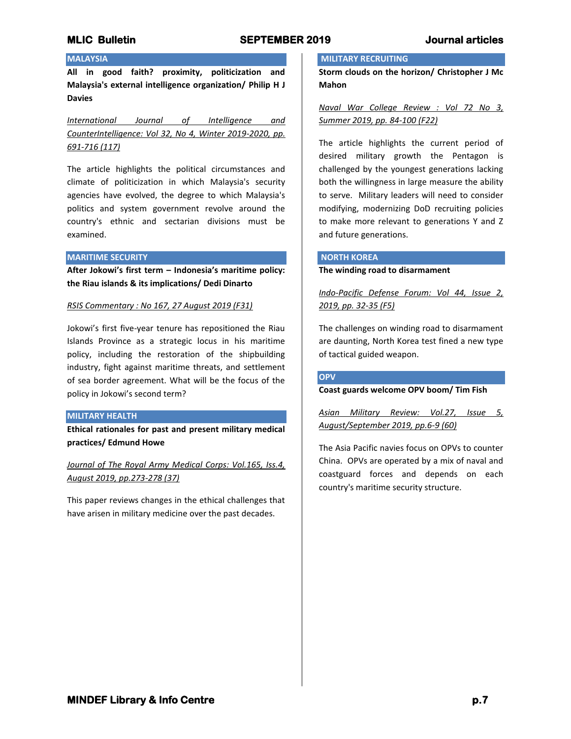## **MALAYSIA**

**All in good faith? proximity, politicization and Malaysia's external intelligence organization/ Philip H J Davies**

*International Journal of Intelligence and CounterIntelligence: Vol 32, No 4, Winter 2019-2020, pp. 691-716 (117)*

The article highlights the political circumstances and climate of politicization in which Malaysia's security agencies have evolved, the degree to which Malaysia's politics and system government revolve around the country's ethnic and sectarian divisions must be examined.

#### **MARITIME SECURITY**

**After Jokowi's first term – Indonesia's maritime policy: the Riau islands & its implications/ Dedi Dinarto**

#### *RSIS Commentary : No 167, 27 August 2019 (F31)*

Jokowi's first five-year tenure has repositioned the Riau Islands Province as a strategic locus in his maritime policy, including the restoration of the shipbuilding industry, fight against maritime threats, and settlement of sea border agreement. What will be the focus of the policy in Jokowi's second term?

#### **MILITARY HEALTH**

**Ethical rationales for past and present military medical practices/ Edmund Howe** 

*Journal of The Royal Army Medical Corps: Vol.165, Iss.4, August 2019, pp.273-278 (37)*

This paper reviews changes in the ethical challenges that have arisen in military medicine over the past decades.

#### **MILITARY RECRUITING**

**Storm clouds on the horizon/ Christopher J Mc Mahon**

*Naval War College Review : Vol 72 No 3, Summer 2019, pp. 84-100 (F22)*

The article highlights the current period of desired military growth the Pentagon is challenged by the youngest generations lacking both the willingness in large measure the ability to serve. Military leaders will need to consider modifying, modernizing DoD recruiting policies to make more relevant to generations Y and Z and future generations.

#### **NORTH KOREA**

**The winding road to disarmament**

*Indo-Pacific Defense Forum: Vol 44, Issue 2, 2019, pp. 32-35 (F5)*

The challenges on winding road to disarmament are daunting, North Korea test fined a new type of tactical guided weapon.

#### **OPV**

### **Coast guards welcome OPV boom/ Tim Fish**

*Asian Military Review: Vol.27, Issue 5, August/September 2019, pp.6-9 (60)*

The Asia Pacific navies focus on OPVs to counter China. OPVs are operated by a mix of naval and coastguard forces and depends on each country's maritime security structure.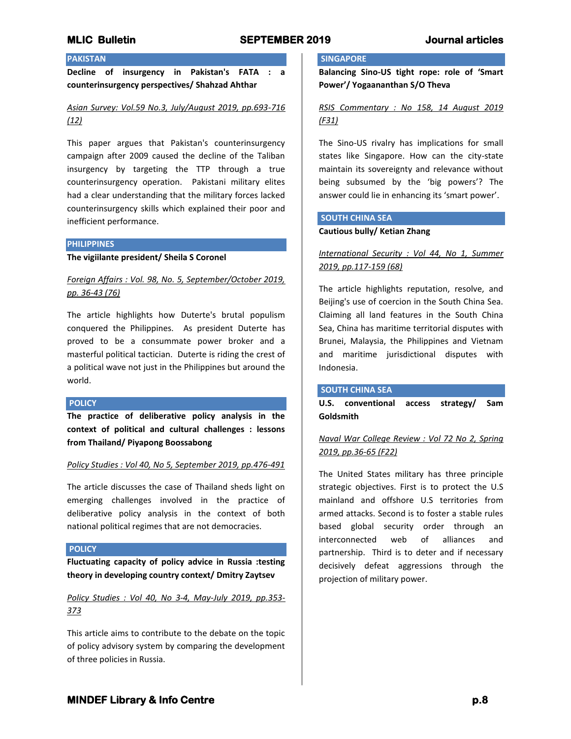## **PAKISTAN**

**Decline of insurgency in Pakistan's FATA : a counterinsurgency perspectives/ Shahzad Ahthar**

*Asian Survey: Vol.59 No.3, July/August 2019, pp.693-716 (12)*

This paper argues that Pakistan's counterinsurgency campaign after 2009 caused the decline of the Taliban insurgency by targeting the TTP through a true counterinsurgency operation. Pakistani military elites had a clear understanding that the military forces lacked counterinsurgency skills which explained their poor and inefficient performance.

#### **PHILIPPINES**

**The vigiilante president/ Sheila S Coronel**

*Foreign Affairs : Vol. 98, No. 5, September/October 2019, pp. 36-43 (76)*

The article highlights how Duterte's brutal populism conquered the Philippines. As president Duterte has proved to be a consummate power broker and a masterful political tactician. Duterte is riding the crest of a political wave not just in the Philippines but around the world.

#### **POLICY**

**The practice of deliberative policy analysis in the context of political and cultural challenges : lessons from Thailand/ Piyapong Boossabong**

#### *Policy Studies : Vol 40, No 5, September 2019, pp.476-491*

The article discusses the case of Thailand sheds light on emerging challenges involved in the practice of deliberative policy analysis in the context of both national political regimes that are not democracies.

#### **POLICY**

**Fluctuating capacity of policy advice in Russia :testing theory in developing country context/ Dmitry Zaytsev**

*Policy Studies : Vol 40, No 3-4, May-July 2019, pp.353- 373*

This article aims to contribute to the debate on the topic of policy advisory system by comparing the development of three policies in Russia.

#### **SINGAPORE**

**Balancing Sino-US tight rope: role of 'Smart Power'/ Yogaananthan S/O Theva**

*RSIS Commentary : No 158, 14 August 2019 (F31)*

The Sino-US rivalry has implications for small states like Singapore. How can the city-state maintain its sovereignty and relevance without being subsumed by the 'big powers'? The answer could lie in enhancing its 'smart power'.

#### **SOUTH CHINA SEA**

#### **Cautious bully/ Ketian Zhang**

*International Security : Vol 44, No 1, Summer 2019, pp.117-159 (68)*

The article highlights reputation, resolve, and Beijing's use of coercion in the South China Sea. Claiming all land features in the South China Sea, China has maritime territorial disputes with Brunei, Malaysia, the Philippines and Vietnam and maritime jurisdictional disputes with Indonesia.

#### **SOUTH CHINA SEA**

**U.S. conventional access strategy/ Sam Goldsmith**

## *Naval War College Review : Vol 72 No 2, Spring 2019, pp.36-65 (F22)*

The United States military has three principle strategic objectives. First is to protect the U.S mainland and offshore U.S territories from armed attacks. Second is to foster a stable rules based global security order through an interconnected web of alliances and partnership. Third is to deter and if necessary decisively defeat aggressions through the projection of military power.